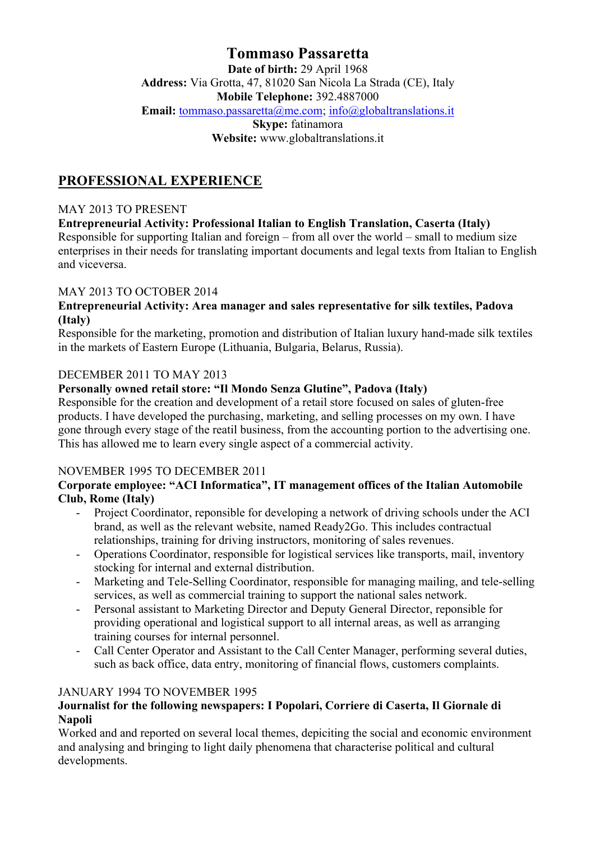# **Tommaso Passaretta**

**Date of birth:** 29 April 1968 **Address:** Via Grotta, 47, 81020 San Nicola La Strada (CE), Italy **Mobile Telephone:** 392.4887000 Email: tommaso.passaretta@me.com; info@globaltranslations.it **Skype:** fatinamora

**Website:** www.globaltranslations.it

# **PROFESSIONAL EXPERIENCE**

## MAY 2013 TO PRESENT

#### **Entrepreneurial Activity: Professional Italian to English Translation, Caserta (Italy)**

Responsible for supporting Italian and foreign – from all over the world – small to medium size enterprises in their needs for translating important documents and legal texts from Italian to English and viceversa.

#### MAY 2013 TO OCTOBER 2014

#### **Entrepreneurial Activity: Area manager and sales representative for silk textiles, Padova (Italy)**

Responsible for the marketing, promotion and distribution of Italian luxury hand-made silk textiles in the markets of Eastern Europe (Lithuania, Bulgaria, Belarus, Russia).

## DECEMBER 2011 TO MAY 2013

## **Personally owned retail store: "Il Mondo Senza Glutine", Padova (Italy)**

Responsible for the creation and development of a retail store focused on sales of gluten-free products. I have developed the purchasing, marketing, and selling processes on my own. I have gone through every stage of the reatil business, from the accounting portion to the advertising one. This has allowed me to learn every single aspect of a commercial activity.

#### NOVEMBER 1995 TO DECEMBER 2011

#### **Corporate employee: "ACI Informatica", IT management offices of the Italian Automobile Club, Rome (Italy)**

- Project Coordinator, reponsible for developing a network of driving schools under the ACI brand, as well as the relevant website, named Ready2Go. This includes contractual relationships, training for driving instructors, monitoring of sales revenues.
- Operations Coordinator, responsible for logistical services like transports, mail, inventory stocking for internal and external distribution.
- Marketing and Tele-Selling Coordinator, responsible for managing mailing, and tele-selling services, as well as commercial training to support the national sales network.
- Personal assistant to Marketing Director and Deputy General Director, reponsible for providing operational and logistical support to all internal areas, as well as arranging training courses for internal personnel.
- Call Center Operator and Assistant to the Call Center Manager, performing several duties, such as back office, data entry, monitoring of financial flows, customers complaints.

#### JANUARY 1994 TO NOVEMBER 1995

## **Journalist for the following newspapers: I Popolari, Corriere di Caserta, Il Giornale di Napoli**

Worked and and reported on several local themes, depiciting the social and economic environment and analysing and bringing to light daily phenomena that characterise political and cultural developments.